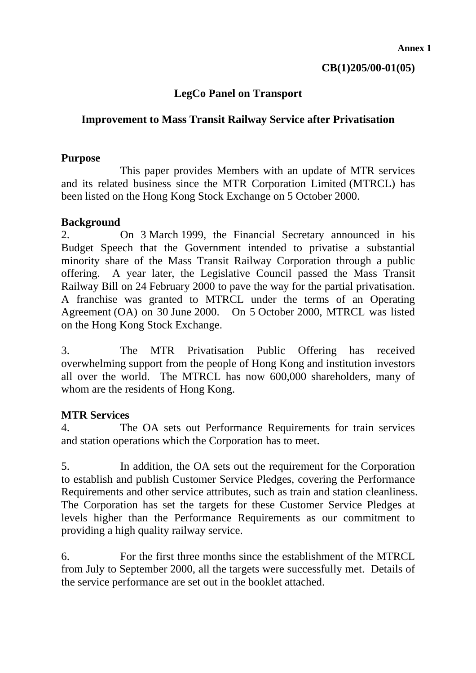# **LegCo Panel on Transport**

## **Improvement to Mass Transit Railway Service after Privatisation**

## **Purpose**

 This paper provides Members with an update of MTR services and its related business since the MTR Corporation Limited (MTRCL) has been listed on the Hong Kong Stock Exchange on 5 October 2000.

#### **Background**

2. On 3 March 1999, the Financial Secretary announced in his Budget Speech that the Government intended to privatise a substantial minority share of the Mass Transit Railway Corporation through a public offering. A year later, the Legislative Council passed the Mass Transit Railway Bill on 24 February 2000 to pave the way for the partial privatisation. A franchise was granted to MTRCL under the terms of an Operating Agreement (OA) on 30 June 2000. On 5 October 2000, MTRCL was listed on the Hong Kong Stock Exchange.

3. The MTR Privatisation Public Offering has received overwhelming support from the people of Hong Kong and institution investors all over the world. The MTRCL has now 600,000 shareholders, many of whom are the residents of Hong Kong.

# **MTR Services**

4. The OA sets out Performance Requirements for train services and station operations which the Corporation has to meet.

5. In addition, the OA sets out the requirement for the Corporation to establish and publish Customer Service Pledges, covering the Performance Requirements and other service attributes, such as train and station cleanliness. The Corporation has set the targets for these Customer Service Pledges at levels higher than the Performance Requirements as our commitment to providing a high quality railway service.

6. For the first three months since the establishment of the MTRCL from July to September 2000, all the targets were successfully met. Details of the service performance are set out in the booklet attached.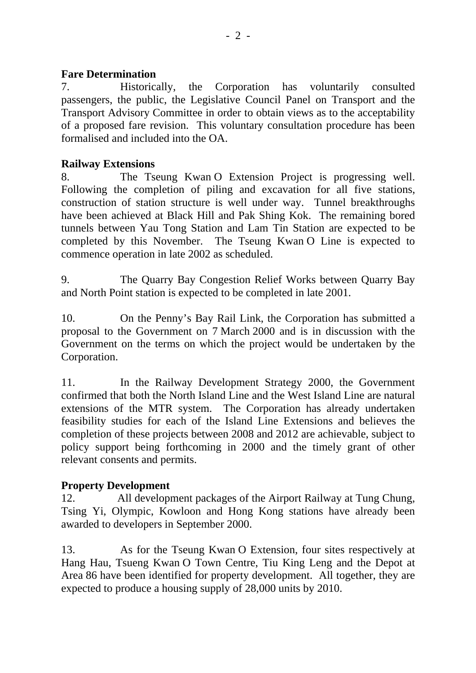## **Fare Determination**

7. Historically, the Corporation has voluntarily consulted passengers, the public, the Legislative Council Panel on Transport and the Transport Advisory Committee in order to obtain views as to the acceptability of a proposed fare revision. This voluntary consultation procedure has been formalised and included into the OA.

# **Railway Extensions**

8. The Tseung Kwan O Extension Project is progressing well. Following the completion of piling and excavation for all five stations, construction of station structure is well under way. Tunnel breakthroughs have been achieved at Black Hill and Pak Shing Kok. The remaining bored tunnels between Yau Tong Station and Lam Tin Station are expected to be completed by this November. The Tseung Kwan O Line is expected to commence operation in late 2002 as scheduled.

9. The Quarry Bay Congestion Relief Works between Quarry Bay and North Point station is expected to be completed in late 2001.

10. On the Penny's Bay Rail Link, the Corporation has submitted a proposal to the Government on 7 March 2000 and is in discussion with the Government on the terms on which the project would be undertaken by the Corporation.

11. In the Railway Development Strategy 2000, the Government confirmed that both the North Island Line and the West Island Line are natural extensions of the MTR system. The Corporation has already undertaken feasibility studies for each of the Island Line Extensions and believes the completion of these projects between 2008 and 2012 are achievable, subject to policy support being forthcoming in 2000 and the timely grant of other relevant consents and permits.

# **Property Development**

12. All development packages of the Airport Railway at Tung Chung, Tsing Yi, Olympic, Kowloon and Hong Kong stations have already been awarded to developers in September 2000.

13. As for the Tseung Kwan O Extension, four sites respectively at Hang Hau, Tsueng Kwan O Town Centre, Tiu King Leng and the Depot at Area 86 have been identified for property development. All together, they are expected to produce a housing supply of 28,000 units by 2010.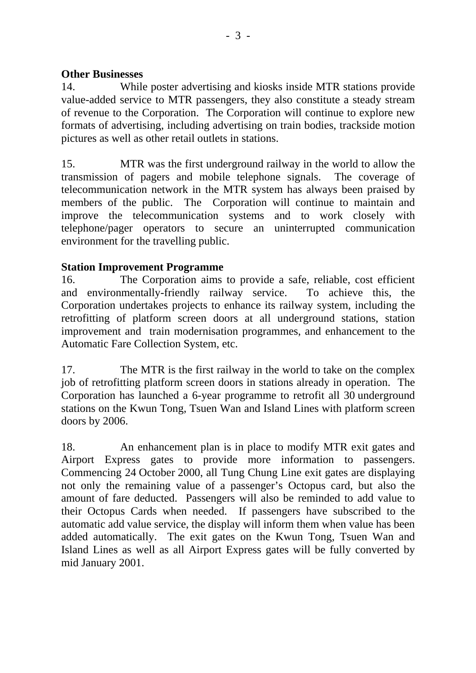#### **Other Businesses**

14. While poster advertising and kiosks inside MTR stations provide value-added service to MTR passengers, they also constitute a steady stream of revenue to the Corporation. The Corporation will continue to explore new formats of advertising, including advertising on train bodies, trackside motion pictures as well as other retail outlets in stations.

15. MTR was the first underground railway in the world to allow the transmission of pagers and mobile telephone signals. The coverage of telecommunication network in the MTR system has always been praised by members of the public. The Corporation will continue to maintain and improve the telecommunication systems and to work closely with telephone/pager operators to secure an uninterrupted communication environment for the travelling public.

#### **Station Improvement Programme**

16. The Corporation aims to provide a safe, reliable, cost efficient and environmentally-friendly railway service. To achieve this, the Corporation undertakes projects to enhance its railway system, including the retrofitting of platform screen doors at all underground stations, station improvement and train modernisation programmes, and enhancement to the Automatic Fare Collection System, etc.

17. The MTR is the first railway in the world to take on the complex job of retrofitting platform screen doors in stations already in operation. The Corporation has launched a 6-year programme to retrofit all 30 underground stations on the Kwun Tong, Tsuen Wan and Island Lines with platform screen doors by 2006.

18. An enhancement plan is in place to modify MTR exit gates and Airport Express gates to provide more information to passengers. Commencing 24 October 2000, all Tung Chung Line exit gates are displaying not only the remaining value of a passenger's Octopus card, but also the amount of fare deducted. Passengers will also be reminded to add value to their Octopus Cards when needed. If passengers have subscribed to the automatic add value service, the display will inform them when value has been added automatically. The exit gates on the Kwun Tong, Tsuen Wan and Island Lines as well as all Airport Express gates will be fully converted by mid January 2001.